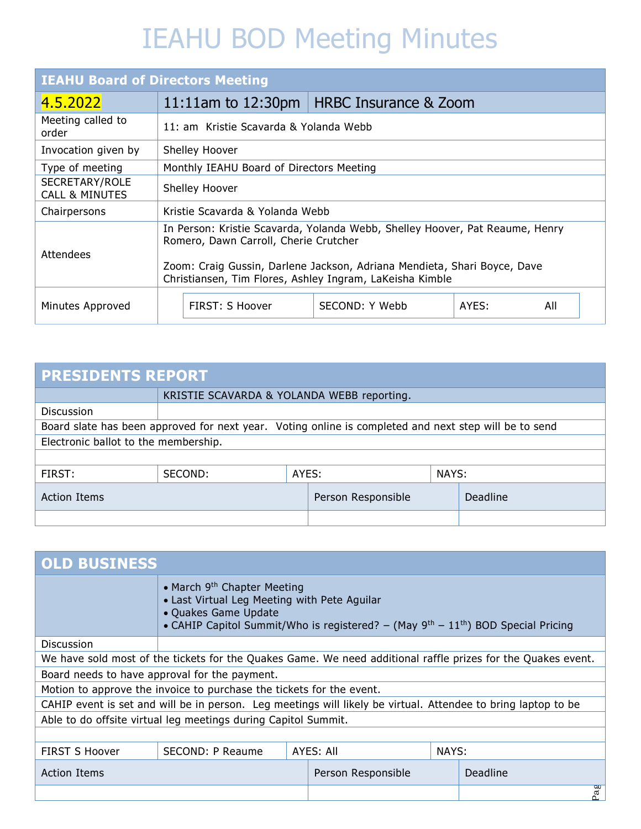| <b>IEAHU Board of Directors Meeting</b>     |                                                   |                                                                                                                                                                                                                                                               |  |  |  |  |  |  |  |  |
|---------------------------------------------|---------------------------------------------------|---------------------------------------------------------------------------------------------------------------------------------------------------------------------------------------------------------------------------------------------------------------|--|--|--|--|--|--|--|--|
| 4.5.2022                                    | 11:11am to $12:30 \text{pm}$                      | <b>HRBC Insurance &amp; Zoom</b>                                                                                                                                                                                                                              |  |  |  |  |  |  |  |  |
| Meeting called to<br>order                  |                                                   | 11: am Kristie Scavarda & Yolanda Webb                                                                                                                                                                                                                        |  |  |  |  |  |  |  |  |
| Invocation given by                         | Shelley Hoover                                    |                                                                                                                                                                                                                                                               |  |  |  |  |  |  |  |  |
| Type of meeting                             | Monthly IEAHU Board of Directors Meeting          |                                                                                                                                                                                                                                                               |  |  |  |  |  |  |  |  |
| SECRETARY/ROLE<br><b>CALL &amp; MINUTES</b> | Shelley Hoover                                    |                                                                                                                                                                                                                                                               |  |  |  |  |  |  |  |  |
| Chairpersons                                | Kristie Scavarda & Yolanda Webb                   |                                                                                                                                                                                                                                                               |  |  |  |  |  |  |  |  |
| Attendees                                   |                                                   | In Person: Kristie Scavarda, Yolanda Webb, Shelley Hoover, Pat Reaume, Henry<br>Romero, Dawn Carroll, Cherie Crutcher<br>Zoom: Craig Gussin, Darlene Jackson, Adriana Mendieta, Shari Boyce, Dave<br>Christiansen, Tim Flores, Ashley Ingram, LaKeisha Kimble |  |  |  |  |  |  |  |  |
| Minutes Approved                            | FIRST: S Hoover<br>SECOND: Y Webb<br>AYES:<br>All |                                                                                                                                                                                                                                                               |  |  |  |  |  |  |  |  |

| <b>PRESIDENTS REPORT</b>                                                                              |                                            |       |                    |       |          |  |  |  |  |
|-------------------------------------------------------------------------------------------------------|--------------------------------------------|-------|--------------------|-------|----------|--|--|--|--|
|                                                                                                       | KRISTIE SCAVARDA & YOLANDA WEBB reporting. |       |                    |       |          |  |  |  |  |
| Discussion                                                                                            |                                            |       |                    |       |          |  |  |  |  |
| Board slate has been approved for next year. Voting online is completed and next step will be to send |                                            |       |                    |       |          |  |  |  |  |
| Electronic ballot to the membership.                                                                  |                                            |       |                    |       |          |  |  |  |  |
|                                                                                                       |                                            |       |                    |       |          |  |  |  |  |
| FIRST:                                                                                                | SECOND:                                    | AYES: |                    | NAYS: |          |  |  |  |  |
| <b>Action Items</b>                                                                                   |                                            |       | Person Responsible |       | Deadline |  |  |  |  |
|                                                                                                       |                                            |       |                    |       |          |  |  |  |  |

| <b>OLD BUSINESS</b>   |                                                                                                                                                                                                                       |  |                    |  |                                                                                                              |  |  |  |
|-----------------------|-----------------------------------------------------------------------------------------------------------------------------------------------------------------------------------------------------------------------|--|--------------------|--|--------------------------------------------------------------------------------------------------------------|--|--|--|
|                       | • March 9 <sup>th</sup> Chapter Meeting<br>• Last Virtual Leg Meeting with Pete Aguilar<br>• Quakes Game Update<br>• CAHIP Capitol Summit/Who is registered? – (May $9^{th}$ – 11 <sup>th</sup> ) BOD Special Pricing |  |                    |  |                                                                                                              |  |  |  |
| <b>Discussion</b>     |                                                                                                                                                                                                                       |  |                    |  |                                                                                                              |  |  |  |
|                       |                                                                                                                                                                                                                       |  |                    |  | We have sold most of the tickets for the Quakes Game. We need additional raffle prizes for the Quakes event. |  |  |  |
|                       | Board needs to have approval for the payment.                                                                                                                                                                         |  |                    |  |                                                                                                              |  |  |  |
|                       | Motion to approve the invoice to purchase the tickets for the event.                                                                                                                                                  |  |                    |  |                                                                                                              |  |  |  |
|                       | CAHIP event is set and will be in person. Leg meetings will likely be virtual. Attendee to bring laptop to be                                                                                                         |  |                    |  |                                                                                                              |  |  |  |
|                       | Able to do offsite virtual leg meetings during Capitol Summit.                                                                                                                                                        |  |                    |  |                                                                                                              |  |  |  |
|                       |                                                                                                                                                                                                                       |  |                    |  |                                                                                                              |  |  |  |
| <b>FIRST S Hoover</b> | AYES: All<br>NAYS:<br>SECOND: P Reaume                                                                                                                                                                                |  |                    |  |                                                                                                              |  |  |  |
| <b>Action Items</b>   |                                                                                                                                                                                                                       |  | Person Responsible |  | Deadline                                                                                                     |  |  |  |
|                       |                                                                                                                                                                                                                       |  |                    |  | Pag                                                                                                          |  |  |  |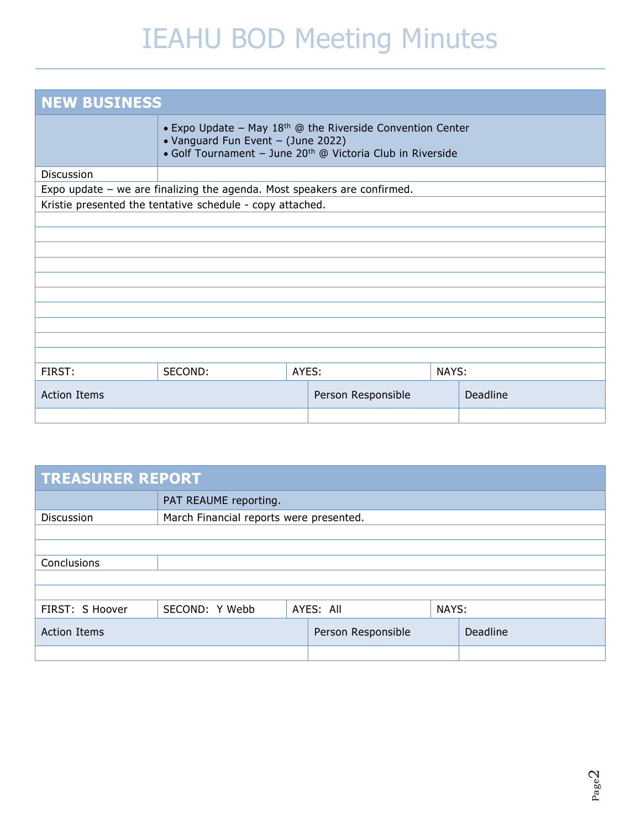| <b>NEW BUSINESS</b> |                                                                                                                                                                              |  |  |  |  |  |  |  |  |
|---------------------|------------------------------------------------------------------------------------------------------------------------------------------------------------------------------|--|--|--|--|--|--|--|--|
|                     | • Expo Update – May $18th$ @ the Riverside Convention Center<br>• Vanguard Fun Event - (June 2022)<br>• Golf Tournament - June 20 <sup>th</sup> @ Victoria Club in Riverside |  |  |  |  |  |  |  |  |
| Discussion          |                                                                                                                                                                              |  |  |  |  |  |  |  |  |
|                     | Expo update $-$ we are finalizing the agenda. Most speakers are confirmed.                                                                                                   |  |  |  |  |  |  |  |  |
|                     | Kristie presented the tentative schedule - copy attached.                                                                                                                    |  |  |  |  |  |  |  |  |
|                     |                                                                                                                                                                              |  |  |  |  |  |  |  |  |
|                     |                                                                                                                                                                              |  |  |  |  |  |  |  |  |
|                     |                                                                                                                                                                              |  |  |  |  |  |  |  |  |
|                     |                                                                                                                                                                              |  |  |  |  |  |  |  |  |
|                     |                                                                                                                                                                              |  |  |  |  |  |  |  |  |
|                     |                                                                                                                                                                              |  |  |  |  |  |  |  |  |
|                     |                                                                                                                                                                              |  |  |  |  |  |  |  |  |
|                     |                                                                                                                                                                              |  |  |  |  |  |  |  |  |
|                     |                                                                                                                                                                              |  |  |  |  |  |  |  |  |
| FIRST:              | AYES:<br>SECOND:<br>NAYS:                                                                                                                                                    |  |  |  |  |  |  |  |  |
| <b>Action Items</b> | Deadline<br>Person Responsible                                                                                                                                               |  |  |  |  |  |  |  |  |
|                     |                                                                                                                                                                              |  |  |  |  |  |  |  |  |

| <b>TREASURER REPORT</b> |                                         |  |           |       |  |  |  |  |  |
|-------------------------|-----------------------------------------|--|-----------|-------|--|--|--|--|--|
|                         | PAT REAUME reporting.                   |  |           |       |  |  |  |  |  |
| Discussion              | March Financial reports were presented. |  |           |       |  |  |  |  |  |
|                         |                                         |  |           |       |  |  |  |  |  |
| Conclusions             |                                         |  |           |       |  |  |  |  |  |
|                         |                                         |  |           |       |  |  |  |  |  |
|                         |                                         |  |           |       |  |  |  |  |  |
| FIRST: S Hoover         | SECOND: Y Webb                          |  | AYES: All | NAYS: |  |  |  |  |  |
| <b>Action Items</b>     | Person Responsible<br>Deadline          |  |           |       |  |  |  |  |  |
|                         |                                         |  |           |       |  |  |  |  |  |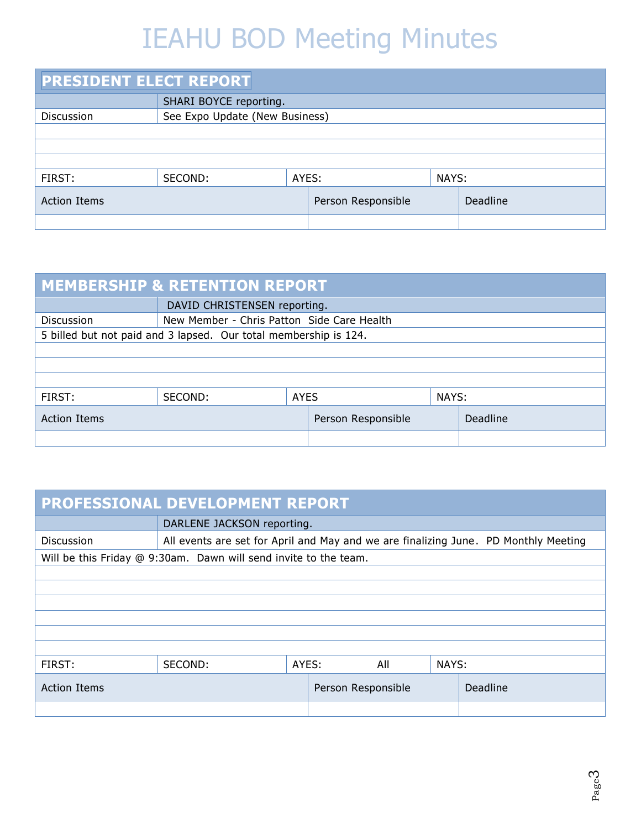| <b>PRESIDENT ELECT REPORT</b> |                                |       |                    |       |          |  |  |  |  |  |
|-------------------------------|--------------------------------|-------|--------------------|-------|----------|--|--|--|--|--|
|                               | SHARI BOYCE reporting.         |       |                    |       |          |  |  |  |  |  |
| Discussion                    | See Expo Update (New Business) |       |                    |       |          |  |  |  |  |  |
|                               |                                |       |                    |       |          |  |  |  |  |  |
|                               |                                |       |                    |       |          |  |  |  |  |  |
|                               |                                |       |                    |       |          |  |  |  |  |  |
| FIRST:                        | SECOND:                        | AYES: |                    | NAYS: |          |  |  |  |  |  |
| <b>Action Items</b>           |                                |       | Person Responsible |       | Deadline |  |  |  |  |  |
|                               |                                |       |                    |       |          |  |  |  |  |  |

| <b>MEMBERSHIP &amp; RETENTION REPORT</b>              |                                                                  |             |  |       |  |  |  |  |  |  |
|-------------------------------------------------------|------------------------------------------------------------------|-------------|--|-------|--|--|--|--|--|--|
| DAVID CHRISTENSEN reporting.                          |                                                                  |             |  |       |  |  |  |  |  |  |
| Discussion                                            | New Member - Chris Patton Side Care Health                       |             |  |       |  |  |  |  |  |  |
|                                                       | 5 billed but not paid and 3 lapsed. Our total membership is 124. |             |  |       |  |  |  |  |  |  |
|                                                       |                                                                  |             |  |       |  |  |  |  |  |  |
|                                                       |                                                                  |             |  |       |  |  |  |  |  |  |
|                                                       |                                                                  |             |  |       |  |  |  |  |  |  |
| FIRST:                                                | SECOND:                                                          | <b>AYES</b> |  | NAYS: |  |  |  |  |  |  |
| Deadline<br><b>Action Items</b><br>Person Responsible |                                                                  |             |  |       |  |  |  |  |  |  |
|                                                       |                                                                  |             |  |       |  |  |  |  |  |  |

| PROFESSIONAL DEVELOPMENT REPORT                       |                                                                  |                                                                                     |  |     |       |  |  |  |  |  |
|-------------------------------------------------------|------------------------------------------------------------------|-------------------------------------------------------------------------------------|--|-----|-------|--|--|--|--|--|
| DARLENE JACKSON reporting.                            |                                                                  |                                                                                     |  |     |       |  |  |  |  |  |
| Discussion                                            |                                                                  | All events are set for April and May and we are finalizing June. PD Monthly Meeting |  |     |       |  |  |  |  |  |
|                                                       | Will be this Friday @ 9:30am. Dawn will send invite to the team. |                                                                                     |  |     |       |  |  |  |  |  |
|                                                       |                                                                  |                                                                                     |  |     |       |  |  |  |  |  |
|                                                       |                                                                  |                                                                                     |  |     |       |  |  |  |  |  |
|                                                       |                                                                  |                                                                                     |  |     |       |  |  |  |  |  |
|                                                       |                                                                  |                                                                                     |  |     |       |  |  |  |  |  |
|                                                       |                                                                  |                                                                                     |  |     |       |  |  |  |  |  |
|                                                       |                                                                  |                                                                                     |  |     |       |  |  |  |  |  |
| FIRST:                                                | SECOND:                                                          | AYES:                                                                               |  | All | NAYS: |  |  |  |  |  |
| Deadline<br><b>Action Items</b><br>Person Responsible |                                                                  |                                                                                     |  |     |       |  |  |  |  |  |
|                                                       |                                                                  |                                                                                     |  |     |       |  |  |  |  |  |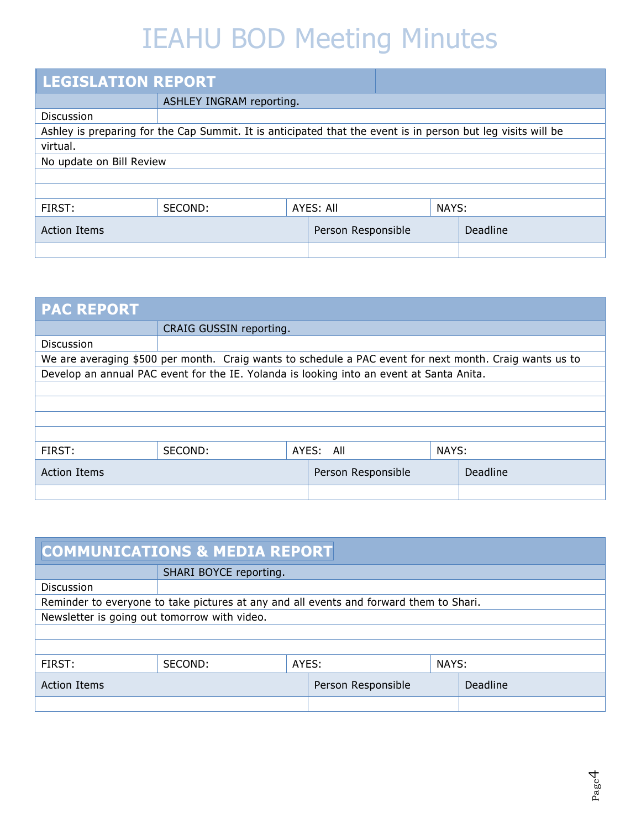| <b>LEGISLATION REPORT</b> |                                                                                                              |  |           |  |       |  |  |  |  |
|---------------------------|--------------------------------------------------------------------------------------------------------------|--|-----------|--|-------|--|--|--|--|
|                           | ASHLEY INGRAM reporting.                                                                                     |  |           |  |       |  |  |  |  |
| <b>Discussion</b>         |                                                                                                              |  |           |  |       |  |  |  |  |
|                           | Ashley is preparing for the Cap Summit. It is anticipated that the event is in person but leg visits will be |  |           |  |       |  |  |  |  |
| virtual.                  |                                                                                                              |  |           |  |       |  |  |  |  |
| No update on Bill Review  |                                                                                                              |  |           |  |       |  |  |  |  |
|                           |                                                                                                              |  |           |  |       |  |  |  |  |
|                           |                                                                                                              |  |           |  |       |  |  |  |  |
| FIRST:                    | SECOND:                                                                                                      |  | AYES: All |  | NAYS: |  |  |  |  |
| <b>Action Items</b>       | Deadline                                                                                                     |  |           |  |       |  |  |  |  |
|                           |                                                                                                              |  |           |  |       |  |  |  |  |

| <b>PAC REPORT</b>                                     |                                                                                                         |  |           |  |       |  |  |  |  |  |
|-------------------------------------------------------|---------------------------------------------------------------------------------------------------------|--|-----------|--|-------|--|--|--|--|--|
|                                                       | CRAIG GUSSIN reporting.                                                                                 |  |           |  |       |  |  |  |  |  |
| Discussion                                            |                                                                                                         |  |           |  |       |  |  |  |  |  |
|                                                       | We are averaging \$500 per month. Craig wants to schedule a PAC event for next month. Craig wants us to |  |           |  |       |  |  |  |  |  |
|                                                       | Develop an annual PAC event for the IE. Yolanda is looking into an event at Santa Anita.                |  |           |  |       |  |  |  |  |  |
|                                                       |                                                                                                         |  |           |  |       |  |  |  |  |  |
|                                                       |                                                                                                         |  |           |  |       |  |  |  |  |  |
|                                                       |                                                                                                         |  |           |  |       |  |  |  |  |  |
|                                                       |                                                                                                         |  |           |  |       |  |  |  |  |  |
| FIRST:                                                | SECOND:                                                                                                 |  | AYES: All |  | NAYS: |  |  |  |  |  |
| Person Responsible<br>Deadline<br><b>Action Items</b> |                                                                                                         |  |           |  |       |  |  |  |  |  |
|                                                       |                                                                                                         |  |           |  |       |  |  |  |  |  |

| <b>COMMUNICATIONS &amp; MEDIA REPORT</b>              |                                                                                        |       |  |       |  |  |  |  |  |
|-------------------------------------------------------|----------------------------------------------------------------------------------------|-------|--|-------|--|--|--|--|--|
|                                                       | SHARI BOYCE reporting.                                                                 |       |  |       |  |  |  |  |  |
| <b>Discussion</b>                                     |                                                                                        |       |  |       |  |  |  |  |  |
|                                                       | Reminder to everyone to take pictures at any and all events and forward them to Shari. |       |  |       |  |  |  |  |  |
| Newsletter is going out tomorrow with video.          |                                                                                        |       |  |       |  |  |  |  |  |
|                                                       |                                                                                        |       |  |       |  |  |  |  |  |
|                                                       |                                                                                        |       |  |       |  |  |  |  |  |
| FIRST:                                                | SECOND:                                                                                | AYES: |  | NAYS: |  |  |  |  |  |
| Deadline<br>Person Responsible<br><b>Action Items</b> |                                                                                        |       |  |       |  |  |  |  |  |
|                                                       |                                                                                        |       |  |       |  |  |  |  |  |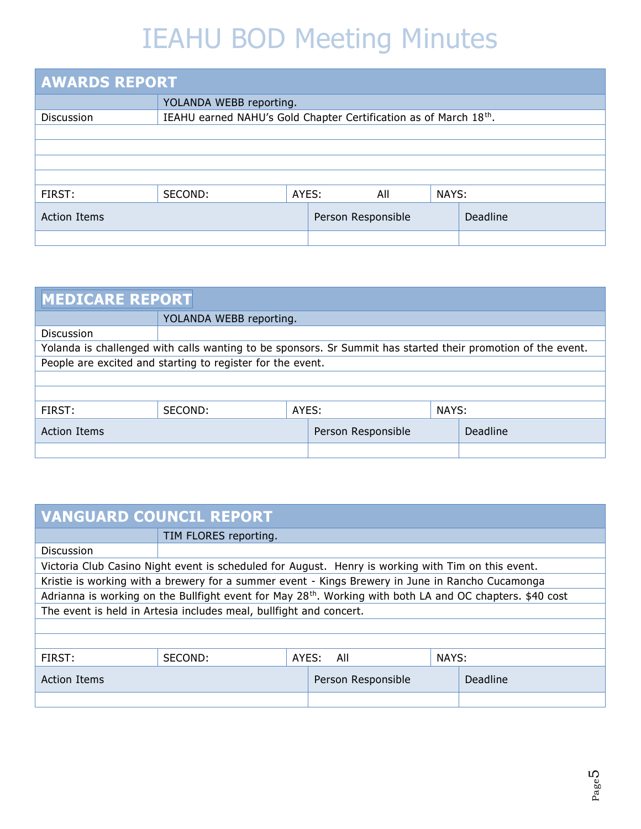| <b>AWARDS REPORT</b> |                         |                                                                  |  |     |       |  |  |  |  |  |
|----------------------|-------------------------|------------------------------------------------------------------|--|-----|-------|--|--|--|--|--|
|                      | YOLANDA WEBB reporting. |                                                                  |  |     |       |  |  |  |  |  |
| Discussion           |                         | IEAHU earned NAHU's Gold Chapter Certification as of March 18th. |  |     |       |  |  |  |  |  |
|                      |                         |                                                                  |  |     |       |  |  |  |  |  |
|                      |                         |                                                                  |  |     |       |  |  |  |  |  |
|                      |                         |                                                                  |  |     |       |  |  |  |  |  |
|                      |                         |                                                                  |  |     |       |  |  |  |  |  |
| FIRST:               | SECOND:                 | AYES:                                                            |  | All | NAYS: |  |  |  |  |  |
| <b>Action Items</b>  |                         | Deadline<br>Person Responsible                                   |  |     |       |  |  |  |  |  |
|                      |                         |                                                                  |  |     |       |  |  |  |  |  |

| <b>MEDICARE REPORT</b>                                                                                       |                         |                    |  |          |  |
|--------------------------------------------------------------------------------------------------------------|-------------------------|--------------------|--|----------|--|
|                                                                                                              | YOLANDA WEBB reporting. |                    |  |          |  |
| <b>Discussion</b>                                                                                            |                         |                    |  |          |  |
| Yolanda is challenged with calls wanting to be sponsors. Sr Summit has started their promotion of the event. |                         |                    |  |          |  |
| People are excited and starting to register for the event.                                                   |                         |                    |  |          |  |
|                                                                                                              |                         |                    |  |          |  |
|                                                                                                              |                         |                    |  |          |  |
| FIRST:                                                                                                       | SECOND:                 | AYES:              |  | NAYS:    |  |
| <b>Action Items</b>                                                                                          |                         | Person Responsible |  | Deadline |  |
|                                                                                                              |                         |                    |  |          |  |

| <b>VANGUARD COUNCIL REPORT</b>                                                                                        |                       |                    |                       |          |  |  |
|-----------------------------------------------------------------------------------------------------------------------|-----------------------|--------------------|-----------------------|----------|--|--|
|                                                                                                                       | TIM FLORES reporting. |                    |                       |          |  |  |
| <b>Discussion</b>                                                                                                     |                       |                    |                       |          |  |  |
| Victoria Club Casino Night event is scheduled for August. Henry is working with Tim on this event.                    |                       |                    |                       |          |  |  |
| Kristie is working with a brewery for a summer event - Kings Brewery in June in Rancho Cucamonga                      |                       |                    |                       |          |  |  |
| Adrianna is working on the Bullfight event for May 28 <sup>th</sup> . Working with both LA and OC chapters. \$40 cost |                       |                    |                       |          |  |  |
| The event is held in Artesia includes meal, bullfight and concert.                                                    |                       |                    |                       |          |  |  |
|                                                                                                                       |                       |                    |                       |          |  |  |
|                                                                                                                       |                       |                    |                       |          |  |  |
| FIRST:                                                                                                                | SECOND:               |                    | NAYS:<br>AYES:<br>All |          |  |  |
| <b>Action Items</b>                                                                                                   |                       | Person Responsible |                       | Deadline |  |  |
|                                                                                                                       |                       |                    |                       |          |  |  |